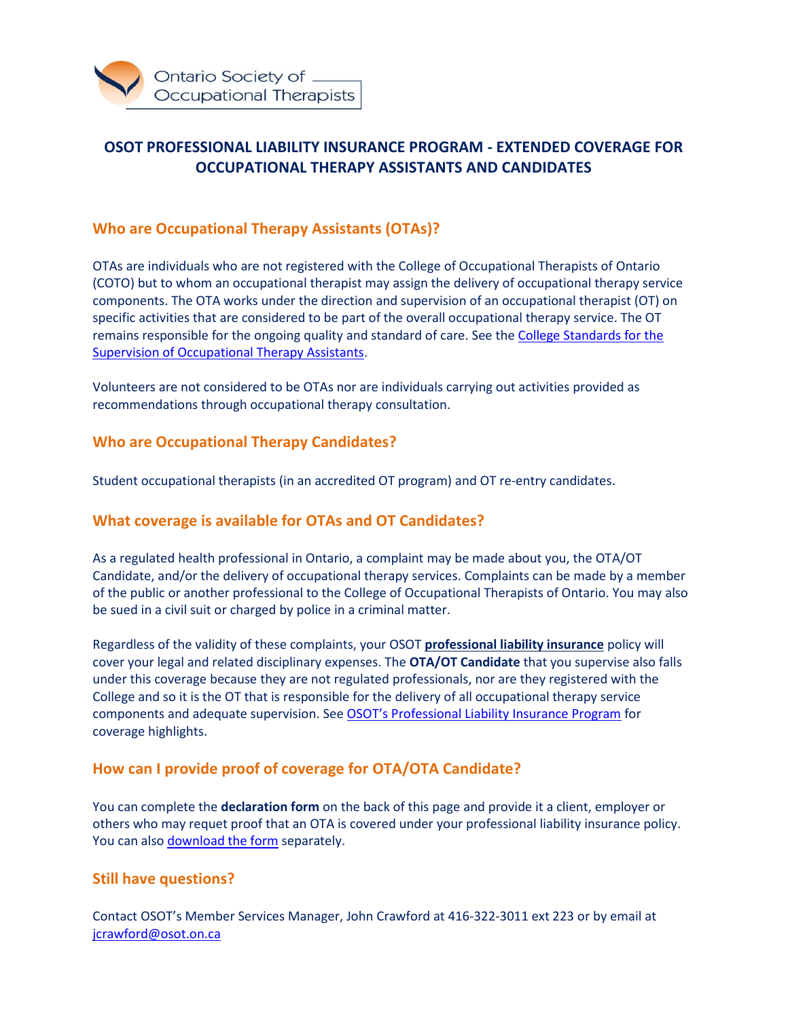

## **OSOT PROFESSIONAL LIABILITY INSURANCE PROGRAM - EXTENDED COVERAGE FOR OCCUPATIONAL THERAPY ASSISTANTS AND CANDIDATES**

### **Who are Occupational Therapy Assistants (OTAs)?**

OTAs are individuals who are not registered with the College of Occupational Therapists of Ontario (COTO) but to whom an occupational therapist may assign the delivery of occupational therapy service components. The OTA works under the direction and supervision of an occupational therapist (OT) on specific activities that are considered to be part of the overall occupational therapy service. The OT remains responsible for the ongoing quality and standard of care. See th[e College Standards for the](https://www.coto.org/docs/default-source/default-document-library/standards-for-the-supervision-of-occupational-therapist-assistants-2018.pdf?sfvrsn=f0051840_6)  [Supervision of Occupational Therapy Assistants.](https://www.coto.org/docs/default-source/default-document-library/standards-for-the-supervision-of-occupational-therapist-assistants-2018.pdf?sfvrsn=f0051840_6)

Volunteers are not considered to be OTAs nor are individuals carrying out activities provided as recommendations through occupational therapy consultation.

#### **Who are Occupational Therapy Candidates?**

Student occupational therapists (in an accredited OT program) and OT re-entry candidates.

#### **What coverage is available for OTAs and OT Candidates?**

As a regulated health professional in Ontario, a complaint may be made about you, the OTA/OT Candidate, and/or the delivery of occupational therapy services. Complaints can be made by a member of the public or another professional to the College of Occupational Therapists of Ontario. You may also be sued in a civil suit or charged by police in a criminal matter.

Regardless of the validity of these complaints, your OSOT **professional liability insurance** policy will cover your legal and related disciplinary expenses. The **OTA/OT Candidate** that you supervise also falls under this coverage because they are not regulated professionals, nor are they registered with the College and so it is the OT that is responsible for the delivery of all occupational therapy service components and adequate supervision. See [OSOT's Professional Liability Insurance Program](https://prolink.insure/associations/osot/) for coverage highlights.

#### **How can I provide proof of coverage for OTA/OTA Candidate?**

You can complete the **declaration form** on the back of this page and provide it a client, employer or others who may requet proof that an OTA is covered under your professional liability insurance policy. You can also [download the form](https://www.osot.on.ca/docs/Membership/ota_declaration_form.pdf) separately.

#### **Still have questions?**

Contact OSOT's Member Services Manager, John Crawford at 416-322-3011 ext 223 or by email at [jcrawford@osot.on.ca](mailto:jcrawford@osot.on.ca)